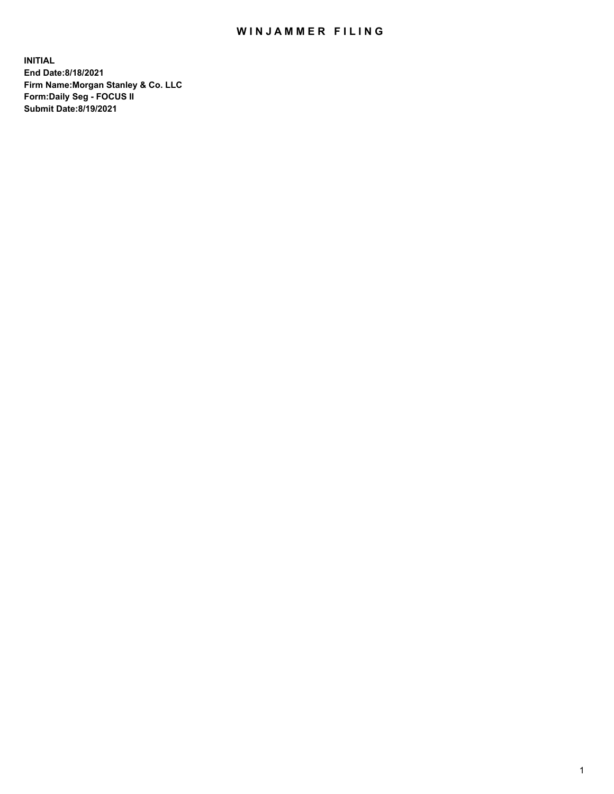## WIN JAMMER FILING

**INITIAL End Date:8/18/2021 Firm Name:Morgan Stanley & Co. LLC Form:Daily Seg - FOCUS II Submit Date:8/19/2021**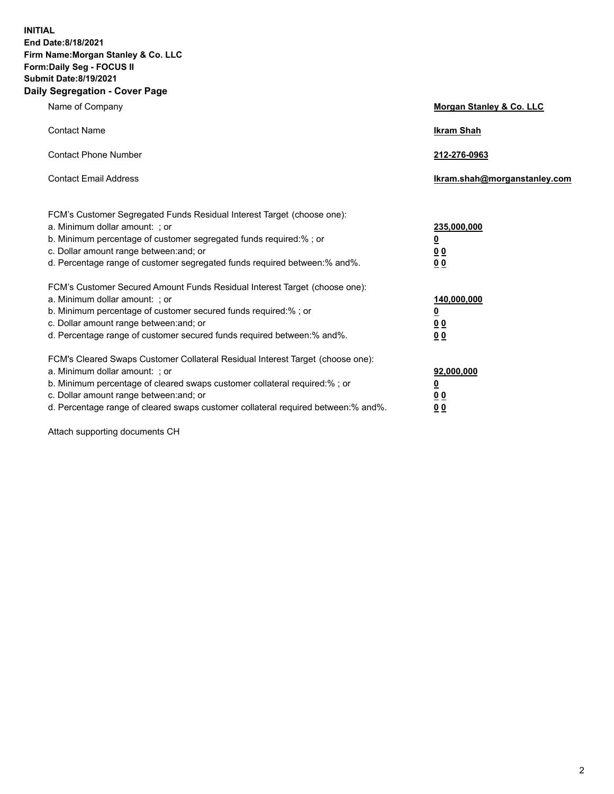**INITIAL End Date:8/18/2021 Firm Name:Morgan Stanley & Co. LLC Form:Daily Seg - FOCUS II Submit Date:8/19/2021 Daily Segregation - Cover Page**

| Name of Company                                                                                                                                                                                                                                                                                                                | Morgan Stanley & Co. LLC                               |
|--------------------------------------------------------------------------------------------------------------------------------------------------------------------------------------------------------------------------------------------------------------------------------------------------------------------------------|--------------------------------------------------------|
| <b>Contact Name</b>                                                                                                                                                                                                                                                                                                            | <b>Ikram Shah</b>                                      |
| <b>Contact Phone Number</b>                                                                                                                                                                                                                                                                                                    | 212-276-0963                                           |
| <b>Contact Email Address</b>                                                                                                                                                                                                                                                                                                   | Ikram.shah@morganstanley.com                           |
| FCM's Customer Segregated Funds Residual Interest Target (choose one):<br>a. Minimum dollar amount: ; or<br>b. Minimum percentage of customer segregated funds required:%; or<br>c. Dollar amount range between: and; or<br>d. Percentage range of customer segregated funds required between:% and%.                          | 235,000,000<br><u>0</u><br><u>00</u><br><u>00</u>      |
| FCM's Customer Secured Amount Funds Residual Interest Target (choose one):<br>a. Minimum dollar amount: ; or<br>b. Minimum percentage of customer secured funds required:%; or<br>c. Dollar amount range between: and; or<br>d. Percentage range of customer secured funds required between:% and%.                            | 140,000,000<br><u>0</u><br><u>00</u><br>0 <sub>0</sub> |
| FCM's Cleared Swaps Customer Collateral Residual Interest Target (choose one):<br>a. Minimum dollar amount: ; or<br>b. Minimum percentage of cleared swaps customer collateral required:% ; or<br>c. Dollar amount range between: and; or<br>d. Percentage range of cleared swaps customer collateral required between:% and%. | 92,000,000<br><u>0</u><br><u>00</u><br>00              |

Attach supporting documents CH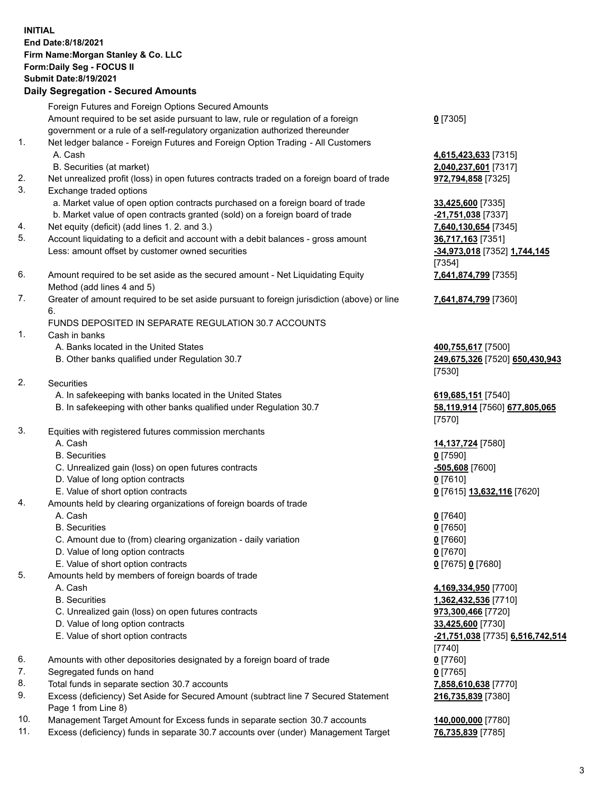## **INITIAL End Date:8/18/2021 Firm Name:Morgan Stanley & Co. LLC Form:Daily Seg - FOCUS II Submit Date:8/19/2021 Daily Segregation - Secured Amounts**

Foreign Futures and Foreign Options Secured Amounts Amount required to be set aside pursuant to law, rule or regulation of a foreign

- government or a rule of a self-regulatory organization authorized thereunder
- 1. Net ledger balance Foreign Futures and Foreign Option Trading All Customers A. Cash **4,615,423,633** [7315]
	- B. Securities (at market) **2,040,237,601** [7317]
- 2. Net unrealized profit (loss) in open futures contracts traded on a foreign board of trade **972,794,858** [7325]
- 3. Exchange traded options
	- a. Market value of open option contracts purchased on a foreign board of trade **33,425,600** [7335]
	- b. Market value of open contracts granted (sold) on a foreign board of trade **-21,751,038** [7337]
- 4. Net equity (deficit) (add lines 1. 2. and 3.) **7,640,130,654** [7345]
- 5. Account liquidating to a deficit and account with a debit balances gross amount **36,717,163** [7351] Less: amount offset by customer owned securities **-34,973,018** [7352] **1,744,145**
- 6. Amount required to be set aside as the secured amount Net Liquidating Equity Method (add lines 4 and 5)
- 7. Greater of amount required to be set aside pursuant to foreign jurisdiction (above) or line 6.

## FUNDS DEPOSITED IN SEPARATE REGULATION 30.7 ACCOUNTS

- 1. Cash in banks
	- A. Banks located in the United States **400,755,617** [7500]
	- B. Other banks qualified under Regulation 30.7 **249,675,326** [7520] **650,430,943**
- 2. Securities
	- A. In safekeeping with banks located in the United States **619,685,151** [7540]
	- B. In safekeeping with other banks qualified under Regulation 30.7 **58,119,914** [7560] **677,805,065**
- 3. Equities with registered futures commission merchants
	-
	- B. Securities **0** [7590]
	- C. Unrealized gain (loss) on open futures contracts **-505,608** [7600]
	- D. Value of long option contracts **0** [7610]
	- E. Value of short option contracts **0** [7615] **13,632,116** [7620]
- 4. Amounts held by clearing organizations of foreign boards of trade
	- A. Cash **0** [7640]
	- B. Securities **0** [7650]
	- C. Amount due to (from) clearing organization daily variation **0** [7660]
	- D. Value of long option contracts **0** [7670]
	- E. Value of short option contracts **0** [7675] **0** [7680]
- 5. Amounts held by members of foreign boards of trade
	-
	-
	- C. Unrealized gain (loss) on open futures contracts **973,300,466** [7720]
	- D. Value of long option contracts **33,425,600** [7730]
	-
- 6. Amounts with other depositories designated by a foreign board of trade **0** [7760]
- 7. Segregated funds on hand **0** [7765]
- 8. Total funds in separate section 30.7 accounts **7,858,610,638** [7770]
- 9. Excess (deficiency) Set Aside for Secured Amount (subtract line 7 Secured Statement Page 1 from Line 8)
- 10. Management Target Amount for Excess funds in separate section 30.7 accounts **140,000,000** [7780]
- 11. Excess (deficiency) funds in separate 30.7 accounts over (under) Management Target **76,735,839** [7785]

**0** [7305]

[7354] **7,641,874,799** [7355]

**7,641,874,799** [7360]

[7530]

[7570]

A. Cash **14,137,724** [7580]

 A. Cash **4,169,334,950** [7700] B. Securities **1,362,432,536** [7710] E. Value of short option contracts **-21,751,038** [7735] **6,516,742,514** [7740] **216,735,839** [7380]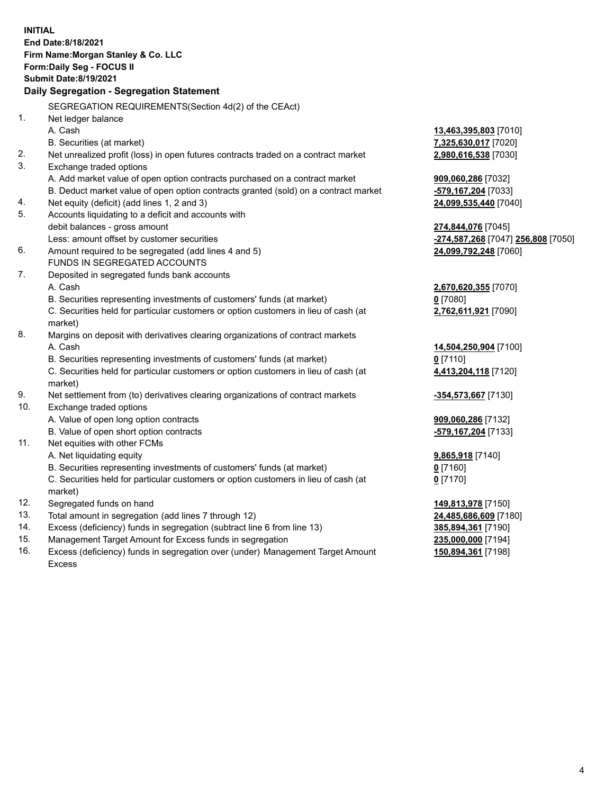**INITIAL End Date:8/18/2021 Firm Name:Morgan Stanley & Co. LLC Form:Daily Seg - FOCUS II Submit Date:8/19/2021 Daily Segregation - Segregation Statement** SEGREGATION REQUIREMENTS(Section 4d(2) of the CEAct) 1. Net ledger balance A. Cash **13,463,395,803** [7010] B. Securities (at market) **7,325,630,017** [7020] 2. Net unrealized profit (loss) in open futures contracts traded on a contract market **2,980,616,538** [7030] 3. Exchange traded options A. Add market value of open option contracts purchased on a contract market **909,060,286** [7032] B. Deduct market value of open option contracts granted (sold) on a contract market **-579,167,204** [7033] 4. Net equity (deficit) (add lines 1, 2 and 3) **24,099,535,440** [7040] 5. Accounts liquidating to a deficit and accounts with debit balances - gross amount **274,844,076** [7045] Less: amount offset by customer securities **-274,587,268** [7047] **256,808** [7050] 6. Amount required to be segregated (add lines 4 and 5) **24,099,792,248** [7060] FUNDS IN SEGREGATED ACCOUNTS 7. Deposited in segregated funds bank accounts A. Cash **2,670,620,355** [7070] B. Securities representing investments of customers' funds (at market) **0** [7080] C. Securities held for particular customers or option customers in lieu of cash (at market) **2,762,611,921** [7090] 8. Margins on deposit with derivatives clearing organizations of contract markets A. Cash **14,504,250,904** [7100] B. Securities representing investments of customers' funds (at market) **0** [7110] C. Securities held for particular customers or option customers in lieu of cash (at market) **4,413,204,118** [7120] 9. Net settlement from (to) derivatives clearing organizations of contract markets **-354,573,667** [7130] 10. Exchange traded options A. Value of open long option contracts **909,060,286** [7132] B. Value of open short option contracts **-579,167,204** [7133] 11. Net equities with other FCMs A. Net liquidating equity **9,865,918** [7140] B. Securities representing investments of customers' funds (at market) **0** [7160] C. Securities held for particular customers or option customers in lieu of cash (at market) **0** [7170] 12. Segregated funds on hand **149,813,978** [7150] 13. Total amount in segregation (add lines 7 through 12) **24,485,686,609** [7180] 14. Excess (deficiency) funds in segregation (subtract line 6 from line 13) **385,894,361** [7190] 15. Management Target Amount for Excess funds in segregation **235,000,000** [7194] 16. Excess (deficiency) funds in segregation over (under) Management Target Amount **150,894,361** [7198]

Excess